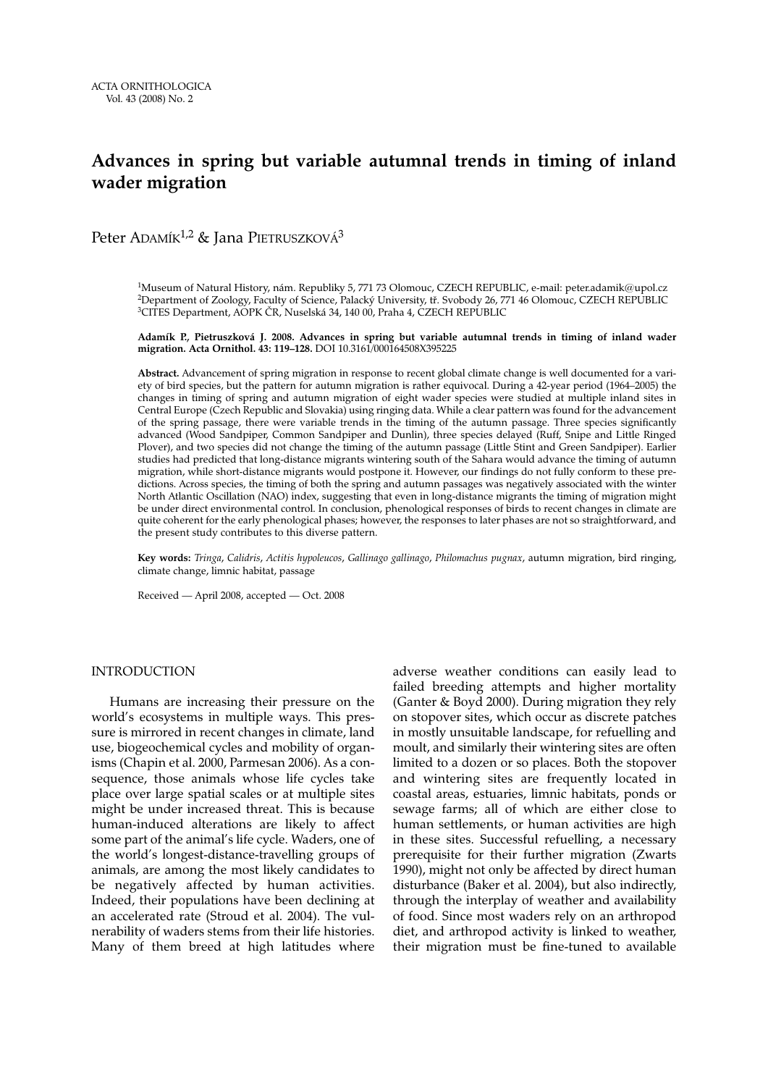# **Advances in spring but variable autumnal trends in timing of inland wader migration**

Peter ADAMÍK<sup>1,2</sup> & Jana PIETRUSZKOVÁ<sup>3</sup>

1Museum of Natural History, nám. Republiky 5, 771 73 Olomouc, CZECH REPUBLIC, e-mail: peter.adamik@upol.cz 2Department of Zoology, Faculty of Science, Palacký University, tř. Svobody 26, 771 46 Olomouc, CZECH REPUBLIC 3CITES Department, AOPK ČR, Nuselská 34, 140 00, Praha 4, CZECH REPUBLIC

**Adamík P., Pietruszková J. 2008. Advances in spring but variable autumnal trends in timing of inland wader migration. Acta Ornithol. 43: 119–128.** DOI 10.3161/000164508X395225

**Abstract.** Advancement of spring migration in response to recent global climate change is well documented for a variety of bird species, but the pattern for autumn migration is rather equivocal. During a 42-year period (1964–2005) the changes in timing of spring and autumn migration of eight wader species were studied at multiple inland sites in Central Europe (Czech Republic and Slovakia) using ringing data. While a clear pattern was found for the advancement of the spring passage, there were variable trends in the timing of the autumn passage. Three species significantly advanced (Wood Sandpiper, Common Sandpiper and Dunlin), three species delayed (Ruff, Snipe and Little Ringed Plover), and two species did not change the timing of the autumn passage (Little Stint and Green Sandpiper). Earlier studies had predicted that long-distance migrants wintering south of the Sahara would advance the timing of autumn migration, while short-distance migrants would postpone it. However, our findings do not fully conform to these predictions. Across species, the timing of both the spring and autumn passages was negatively associated with the winter North Atlantic Oscillation (NAO) index, suggesting that even in long-distance migrants the timing of migration might be under direct environmental control. In conclusion, phenological responses of birds to recent changes in climate are quite coherent for the early phenological phases; however, the responses to later phases are not so straightforward, and the present study contributes to this diverse pattern.

**Key words:** *Tringa*, *Calidris*, *Actitis hypoleucos*, *Gallinago gallinago*, *Philomachus pugnax*, autumn migration, bird ringing, climate change, limnic habitat, passage

Received — April 2008, accepted — Oct. 2008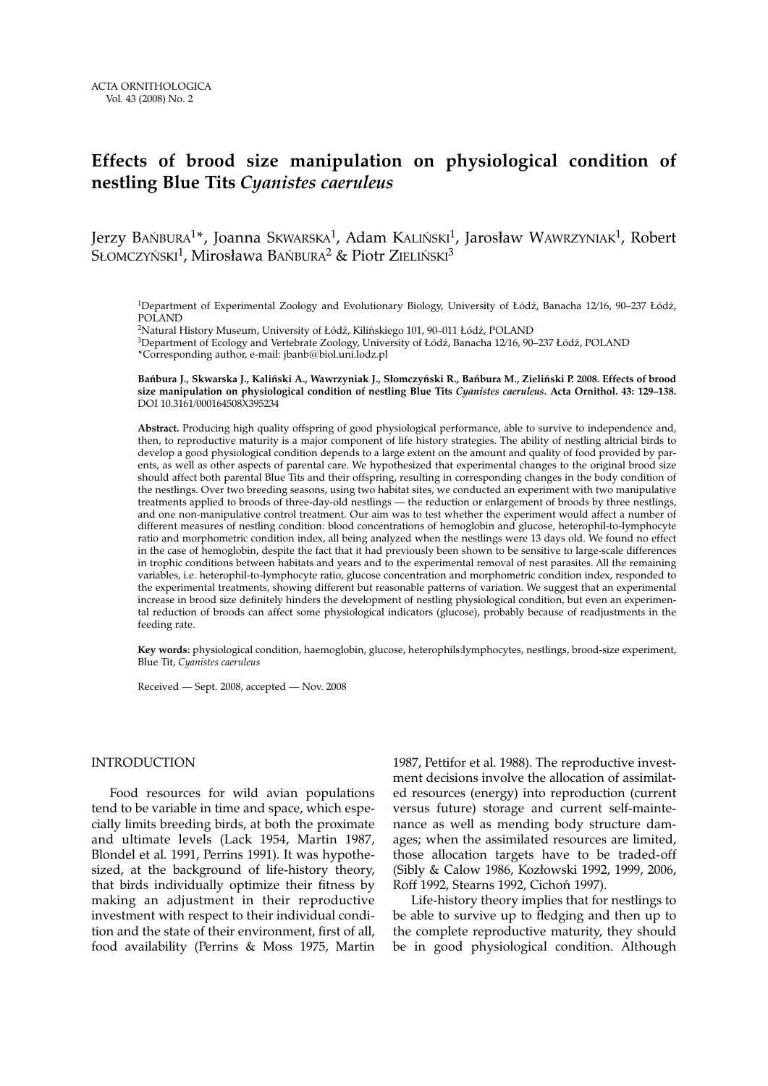### **Effects of brood size manipulation on physiological condition of nestling Blue Tits** *Cyanistes caeruleus*

Jerzy Bańbura<sup>1\*</sup>, Joanna Skwarska<sup>1</sup>, Adam Kaliński<sup>1</sup>, Jarosław Wawrzyniak<sup>1</sup>, Robert SŁOMCZYŃSKI<sup>1</sup>, Mirosława BAŃBURA<sup>2</sup> & Piotr ZIELIŃSKI<sup>3</sup>

1Department of Experimental Zoology and Evolutionary Biology, University of Łódź, Banacha 12/16, 90–237 Łódź, POLAND 2Natural History Museum, University of Łódź, Kilińskiego 101, 90–011 Łódź, POLAND

3Department of Ecology and Vertebrate Zoology, University of Łódź, Banacha 12/16, 90–237 Łódź, POLAND \*Corresponding author, e-mail: jbanb@biol.uni.lodz.pl

**Bańbura J., Skwarska J., Kaliński A., Wawrzyniak J., Słomczyński R., Bańbura M., Zieliński P. 2008. Effects of brood size manipulation on physiological condition of nestling Blue Tits** *Cyanistes caeruleus***. Acta Ornithol. 43: 129–138.**  DOI 10.3161/000164508X395234

**Abstract.** Producing high quality offspring of good physiological performance, able to survive to independence and, then, to reproductive maturity is a major component of life history strategies. The ability of nestling altricial birds to develop a good physiological condition depends to a large extent on the amount and quality of food provided by parents, as well as other aspects of parental care. We hypothesized that experimental changes to the original brood size should affect both parental Blue Tits and their offspring, resulting in corresponding changes in the body condition of the nestlings. Over two breeding seasons, using two habitat sites, we conducted an experiment with two manipulative treatments applied to broods of three-day-old nestlings — the reduction or enlargement of broods by three nestlings, and one non-manipulative control treatment. Our aim was to test whether the experiment would affect a number of different measures of nestling condition: blood concentrations of hemoglobin and glucose, heterophil-to-lymphocyte ratio and morphometric condition index, all being analyzed when the nestlings were 13 days old. We found no effect in the case of hemoglobin, despite the fact that it had previously been shown to be sensitive to large-scale differences in trophic conditions between habitats and years and to the experimental removal of nest parasites. All the remaining variables, i.e. heterophil-to-lymphocyte ratio, glucose concentration and morphometric condition index, responded to the experimental treatments, showing different but reasonable patterns of variation. We suggest that an experimental increase in brood size definitely hinders the development of nestling physiological condition, but even an experimental reduction of broods can affect some physiological indicators (glucose), probably because of readjustments in the feeding rate.

**Key words:** physiological condition, haemoglobin, glucose, heterophils:lymphocytes, nestlings, brood-size experiment, Blue Tit, *Cyanistes caeruleus*

Received — Sept. 2008, accepted — Nov. 2008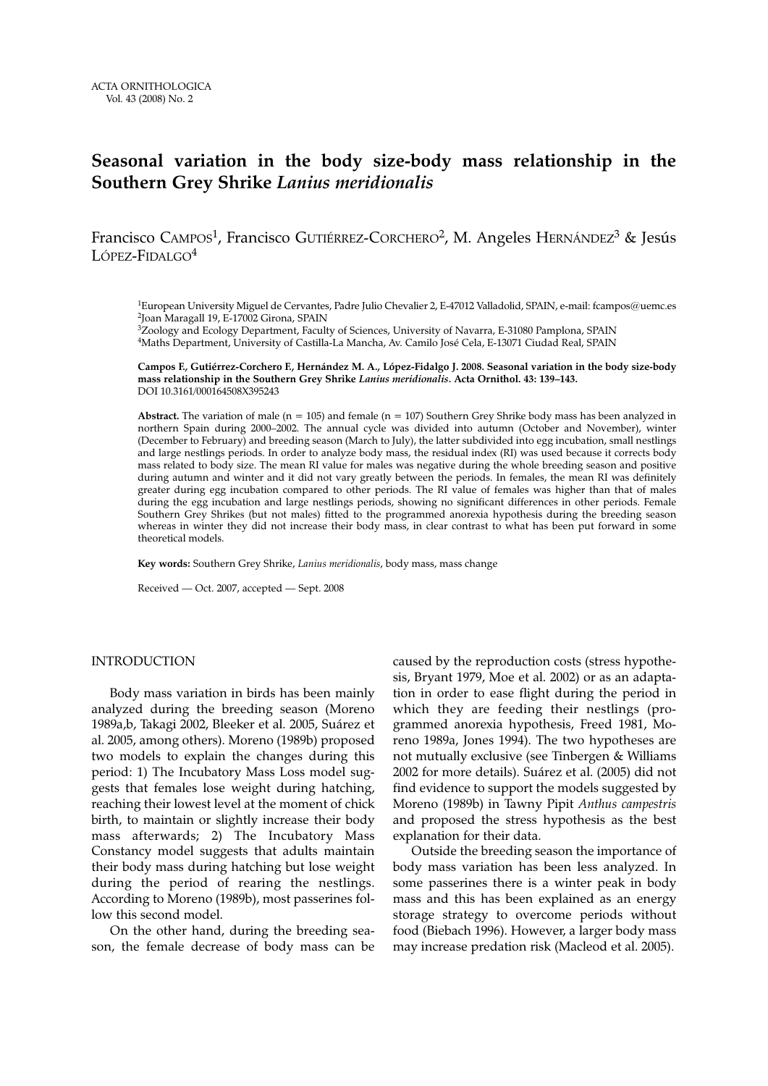# **Seasonal variation in the body size-body mass relationship in the Southern Grey Shrike** *Lanius meridionalis*

Francisco CAMPOS<sup>1</sup>, Francisco GUTIÉRREZ-CORCHERO<sup>2</sup>, M. Angeles HERNÁNDEZ<sup>3</sup> & Jesús LÓPEZ-FIDALGO<sup>4</sup>

1European University Miguel de Cervantes, Padre Julio Chevalier 2, E-47012 Valladolid, SPAIN, e-mail: fcampos@uemc.es 2Joan Maragall 19, E-17002 Girona, SPAIN 3Zoology and Ecology Department, Faculty of Sciences, University of Navarra, E-31080 Pamplona, SPAIN 4Maths Department, University of Castilla-La Mancha, Av. Camilo José Cela, E-13071 Ciudad Real, SPAIN

**Campos F., Gutiérrez-Corchero F., Hernández M. A., López-Fidalgo J. 2008. Seasonal variation in the body size-body mass relationship in the Southern Grey Shrike** *Lanius meridionalis***. Acta Ornithol. 43: 139–143.**  DOI 10.3161/000164508X395243

**Abstract.** The variation of male (n = 105) and female (n = 107) Southern Grey Shrike body mass has been analyzed in northern Spain during 2000–2002. The annual cycle was divided into autumn (October and November), winter (December to February) and breeding season (March to July), the latter subdivided into egg incubation, small nestlings and large nestlings periods. In order to analyze body mass, the residual index (RI) was used because it corrects body mass related to body size. The mean RI value for males was negative during the whole breeding season and positive during autumn and winter and it did not vary greatly between the periods. In females, the mean RI was definitely greater during egg incubation compared to other periods. The RI value of females was higher than that of males during the egg incubation and large nestlings periods, showing no significant differences in other periods. Female Southern Grey Shrikes (but not males) fitted to the programmed anorexia hypothesis during the breeding season whereas in winter they did not increase their body mass, in clear contrast to what has been put forward in some theoretical models.

**Key words:** Southern Grey Shrike, *Lanius meridionalis*, body mass, mass change

Received — Oct. 2007, accepted — Sept. 2008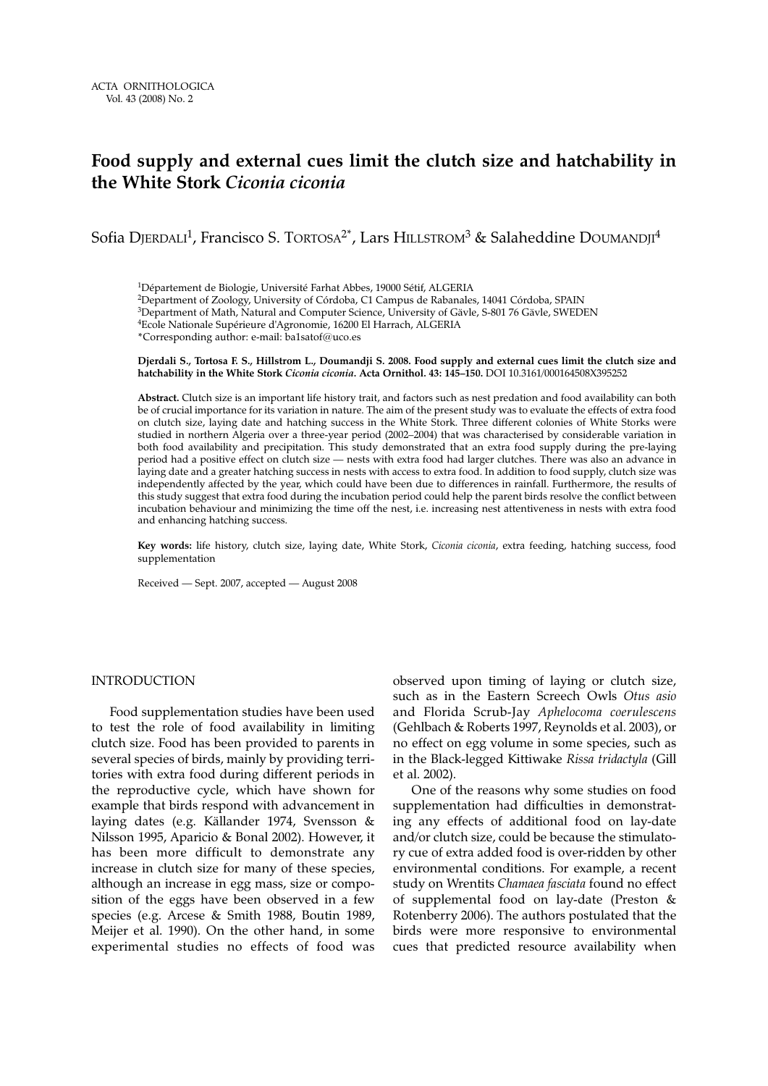## **Food supply and external cues limit the clutch size and hatchability in the White Stork** *Ciconia ciconia*

Sofia DJERDALI<sup>1</sup>, Francisco S. TORTOSA<sup>2\*</sup>, Lars HILLSTROM<sup>3</sup> & Salaheddine DOUMANDII<sup>4</sup>

1Département de Biologie, Université Farhat Abbes, 19000 Sétif, ALGERIA 2Department of Zoology, University of Córdoba, C1 Campus de Rabanales, 14041 Córdoba, SPAIN 3Department of Math, Natural and Computer Science, University of Gävle, S-801 76 Gävle, SWEDEN 4Ecole Nationale Supérieure d'Agronomie, 16200 El Harrach, ALGERIA \*Corresponding author: e-mail: ba1satof@uco.es

**Djerdali S., Tortosa F. S., Hillstrom L., Doumandji S. 2008. Food supply and external cues limit the clutch size and hatchability in the White Stork** *Ciconia ciconia***. Acta Ornithol. 43: 145–150.** DOI 10.3161/000164508X395252

**Abstract.** Clutch size is an important life history trait, and factors such as nest predation and food availability can both be of crucial importance for its variation in nature. The aim of the present study was to evaluate the effects of extra food on clutch size, laying date and hatching success in the White Stork. Three different colonies of White Storks were studied in northern Algeria over a three-year period (2002–2004) that was characterised by considerable variation in both food availability and precipitation. This study demonstrated that an extra food supply during the pre-laying period had a positive effect on clutch size — nests with extra food had larger clutches. There was also an advance in laying date and a greater hatching success in nests with access to extra food. In addition to food supply, clutch size was independently affected by the year, which could have been due to differences in rainfall. Furthermore, the results of this study suggest that extra food during the incubation period could help the parent birds resolve the conflict between incubation behaviour and minimizing the time off the nest, i.e. increasing nest attentiveness in nests with extra food and enhancing hatching success.

**Key words:** life history, clutch size, laying date, White Stork, *Ciconia ciconia*, extra feeding, hatching success, food supplementation

Received — Sept. 2007, accepted — August 2008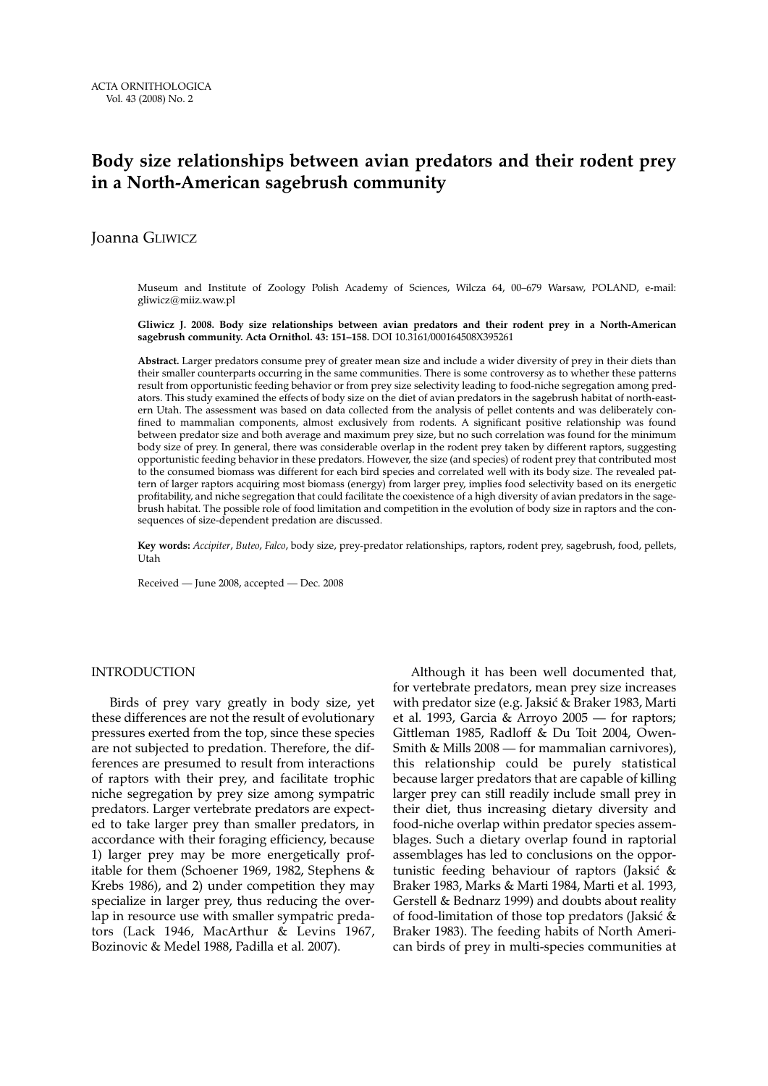## **Body size relationships between avian predators and their rodent prey in a North-American sagebrush community**

Joanna GLIWICZ

Museum and Institute of Zoology Polish Academy of Sciences, Wilcza 64, 00–679 Warsaw, POLAND, e-mail: gliwicz@miiz.waw.pl

**Gliwicz J. 2008. Body size relationships between avian predators and their rodent prey in a North-American sagebrush community. Acta Ornithol. 43: 151–158.** DOI 10.3161/000164508X395261

**Abstract.** Larger predators consume prey of greater mean size and include a wider diversity of prey in their diets than their smaller counterparts occurring in the same communities. There is some controversy as to whether these patterns result from opportunistic feeding behavior or from prey size selectivity leading to food-niche segregation among predators. This study examined the effects of body size on the diet of avian predators in the sagebrush habitat of north-eastern Utah. The assessment was based on data collected from the analysis of pellet contents and was deliberately confined to mammalian components, almost exclusively from rodents. A significant positive relationship was found between predator size and both average and maximum prey size, but no such correlation was found for the minimum body size of prey. In general, there was considerable overlap in the rodent prey taken by different raptors, suggesting opportunistic feeding behavior in these predators. However, the size (and species) of rodent prey that contributed most to the consumed biomass was different for each bird species and correlated well with its body size. The revealed pattern of larger raptors acquiring most biomass (energy) from larger prey, implies food selectivity based on its energetic profitability, and niche segregation that could facilitate the coexistence of a high diversity of avian predators in the sagebrush habitat. The possible role of food limitation and competition in the evolution of body size in raptors and the consequences of size-dependent predation are discussed.

**Key words:** *Accipiter*, *Buteo*, *Falco*, body size, prey-predator relationships, raptors, rodent prey, sagebrush, food, pellets, Utah

Received — June 2008, accepted — Dec. 2008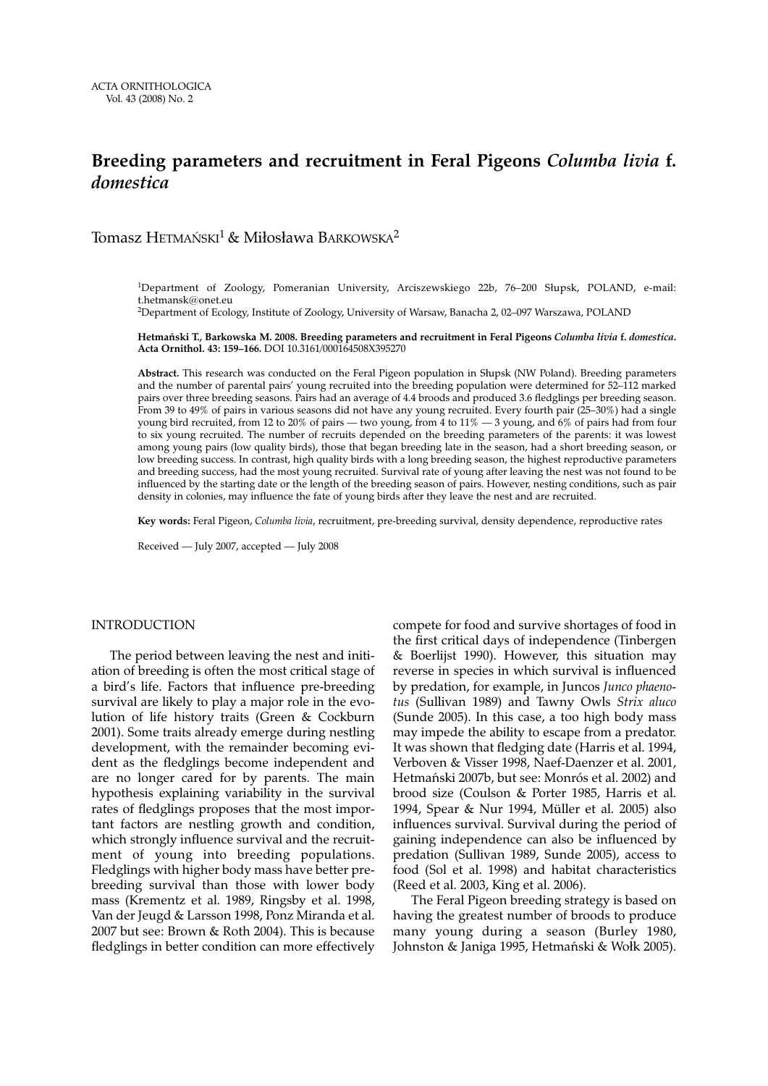### **Breeding parameters and recruitment in Feral Pigeons** *Columba livia* **f.** *domestica*

### Tomasz HETMAŃSKI<sup>1</sup> & Miłosława BARKOWSKA<sup>2</sup>

1Department of Zoology, Pomeranian University, Arciszewskiego 22b, 76–200 Słupsk, POLAND, e-mail: t.hetmansk@onet.eu 2Department of Ecology, Institute of Zoology, University of Warsaw, Banacha 2, 02–097 Warszawa, POLAND

**Hetmański T., Barkowska M. 2008. Breeding parameters and recruitment in Feral Pigeons** *Columba livia* **f.** *domestica***. Acta Ornithol. 43: 159–166.** DOI 10.3161/000164508X395270

**Abstract.** This research was conducted on the Feral Pigeon population in Słupsk (NW Poland). Breeding parameters and the number of parental pairs' young recruited into the breeding population were determined for 52–112 marked pairs over three breeding seasons. Pairs had an average of 4.4 broods and produced 3.6 fledglings per breeding season. From 39 to 49% of pairs in various seasons did not have any young recruited. Every fourth pair (25–30%) had a single young bird recruited, from 12 to 20% of pairs — two young, from 4 to  $11\%$  — 3 young, and 6% of pairs had from four to six young recruited. The number of recruits depended on the breeding parameters of the parents: it was lowest among young pairs (low quality birds), those that began breeding late in the season, had a short breeding season, or low breeding success. In contrast, high quality birds with a long breeding season, the highest reproductive parameters and breeding success, had the most young recruited. Survival rate of young after leaving the nest was not found to be influenced by the starting date or the length of the breeding season of pairs. However, nesting conditions, such as pair density in colonies, may influence the fate of young birds after they leave the nest and are recruited.

**Key words:** Feral Pigeon, *Columba livia*, recruitment, pre-breeding survival, density dependence, reproductive rates

Received — July 2007, accepted — July 2008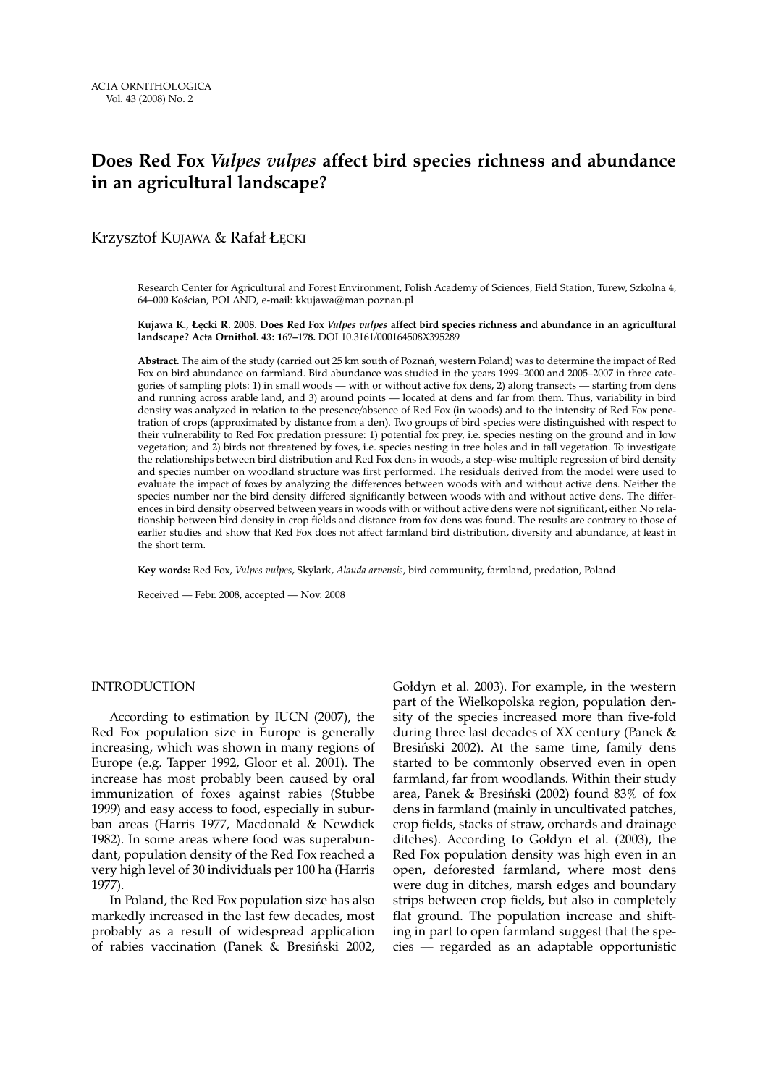# **Does Red Fox** *Vulpes vulpes* **affect bird species richness and abundance in an agricultural landscape?**

#### Krzysztof KUJAWA & Rafał ŁECKI

Research Center for Agricultural and Forest Environment, Polish Academy of Sciences, Field Station, Turew, Szkolna 4, 64–000 Kościan, POLAND, e-mail: kkujawa@man.poznan.pl

**Kujawa K., Łęcki R. 2008. Does Red Fox** *Vulpes vulpes* **affect bird species richness and abundance in an agricultural landscape? Acta Ornithol. 43: 167–178.** DOI 10.3161/000164508X395289

**Abstract.** The aim of the study (carried out 25 km south of Poznań, western Poland) was to determine the impact of Red Fox on bird abundance on farmland. Bird abundance was studied in the years 1999–2000 and 2005–2007 in three categories of sampling plots: 1) in small woods — with or without active fox dens, 2) along transects — starting from dens and running across arable land, and 3) around points — located at dens and far from them. Thus, variability in bird density was analyzed in relation to the presence/absence of Red Fox (in woods) and to the intensity of Red Fox penetration of crops (approximated by distance from a den). Two groups of bird species were distinguished with respect to their vulnerability to Red Fox predation pressure: 1) potential fox prey, i.e. species nesting on the ground and in low vegetation; and 2) birds not threatened by foxes, i.e. species nesting in tree holes and in tall vegetation. To investigate the relationships between bird distribution and Red Fox dens in woods, a step-wise multiple regression of bird density and species number on woodland structure was first performed. The residuals derived from the model were used to evaluate the impact of foxes by analyzing the differences between woods with and without active dens. Neither the species number nor the bird density differed significantly between woods with and without active dens. The differences in bird density observed between years in woods with or without active dens were not significant, either. No relationship between bird density in crop fields and distance from fox dens was found. The results are contrary to those of earlier studies and show that Red Fox does not affect farmland bird distribution, diversity and abundance, at least in the short term.

**Key words:** Red Fox, *Vulpes vulpes*, Skylark, *Alauda arvensis*, bird community, farmland, predation, Poland

Received — Febr. 2008, accepted — Nov. 2008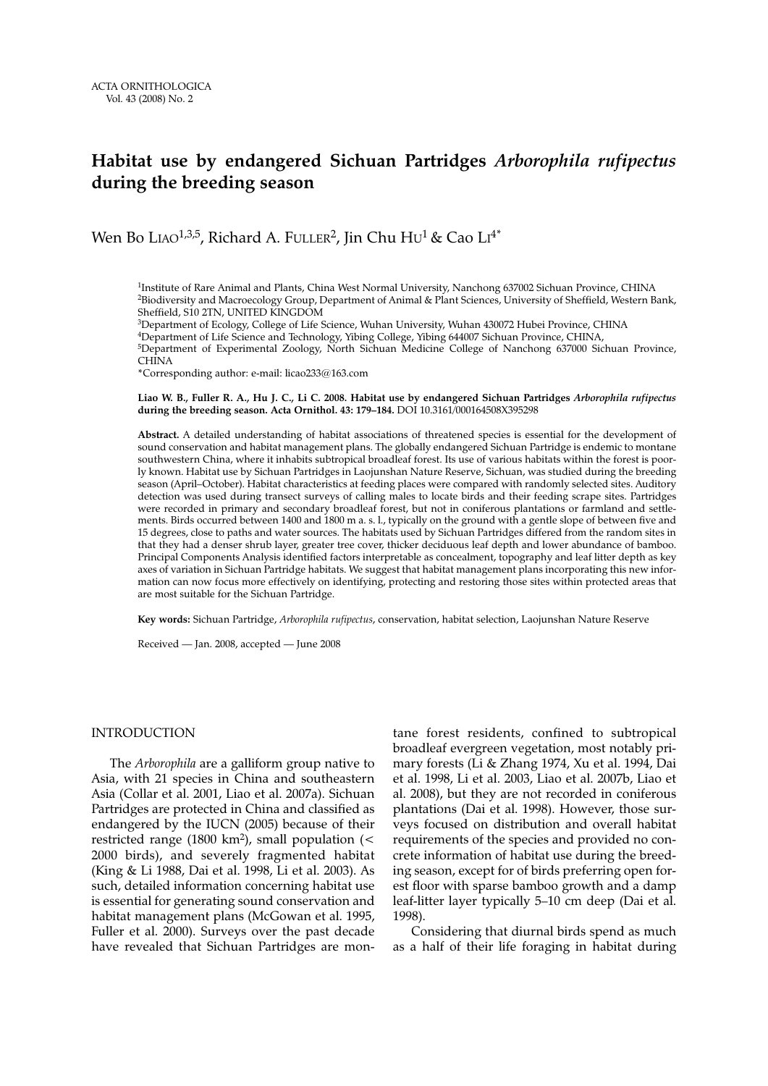# **Habitat use by endangered Sichuan Partridges** *Arborophila rufipectus* **during the breeding season**

### Wen Bo Liao $^{1,3,5}$ , Richard A. Fuller<sup>2</sup>, Jin Chu Hu<sup>1</sup> & Cao Li<sup>4\*</sup>

<sup>1</sup>Institute of Rare Animal and Plants, China West Normal University, Nanchong 637002 Sichuan Province, CHINA 2Biodiversity and Macroecology Group, Department of Animal & Plant Sciences, University of Sheffield, Western Bank, Sheffield, S10 2TN, UNITED KINGDOM

3Department of Ecology, College of Life Science, Wuhan University, Wuhan 430072 Hubei Province, CHINA

4Department of Life Science and Technology, Yibing College, Yibing 644007 Sichuan Province, CHINA,

5Department of Experimental Zoology, North Sichuan Medicine College of Nanchong 637000 Sichuan Province, **CHINA** 

\*Corresponding author: e-mail: licao233@163.com

#### **Liao W. B., Fuller R. A., Hu J. C., Li C. 2008. Habitat use by endangered Sichuan Partridges** *Arborophila rufipectus*  **during the breeding season. Acta Ornithol. 43: 179–184.** DOI 10.3161/000164508X395298

**Abstract.** A detailed understanding of habitat associations of threatened species is essential for the development of sound conservation and habitat management plans. The globally endangered Sichuan Partridge is endemic to montane southwestern China, where it inhabits subtropical broadleaf forest. Its use of various habitats within the forest is poorly known. Habitat use by Sichuan Partridges in Laojunshan Nature Reserve, Sichuan, was studied during the breeding season (April–October). Habitat characteristics at feeding places were compared with randomly selected sites. Auditory detection was used during transect surveys of calling males to locate birds and their feeding scrape sites. Partridges were recorded in primary and secondary broadleaf forest, but not in coniferous plantations or farmland and settlements. Birds occurred between 1400 and 1800 m a. s. l., typically on the ground with a gentle slope of between five and 15 degrees, close to paths and water sources. The habitats used by Sichuan Partridges differed from the random sites in that they had a denser shrub layer, greater tree cover, thicker deciduous leaf depth and lower abundance of bamboo. Principal Components Analysis identified factors interpretable as concealment, topography and leaf litter depth as key axes of variation in Sichuan Partridge habitats. We suggest that habitat management plans incorporating this new information can now focus more effectively on identifying, protecting and restoring those sites within protected areas that are most suitable for the Sichuan Partridge.

**Key words:** Sichuan Partridge, *Arborophila rufipectus*, conservation, habitat selection, Laojunshan Nature Reserve

Received — Jan. 2008, accepted — June 2008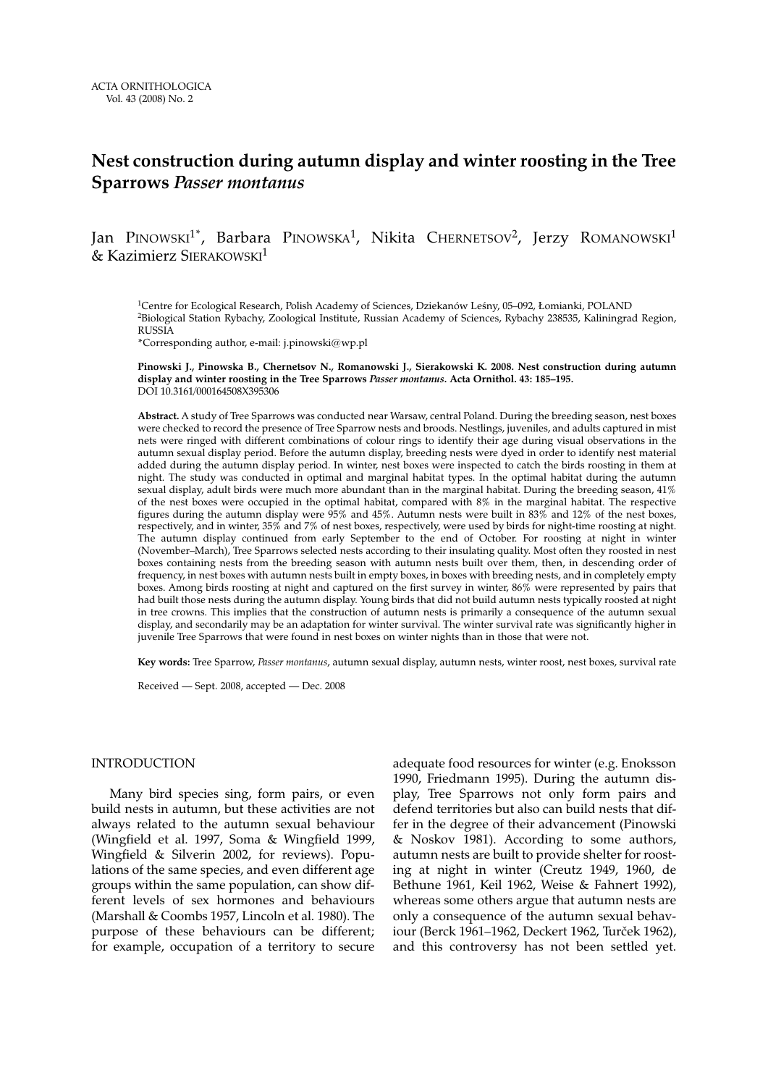### **Nest construction during autumn display and winter roosting in the Tree Sparrows** *Passer montanus*

### Jan PINOWSKI<sup>1\*</sup>, Barbara PINOWSKA<sup>1</sup>, Nikita CHERNETSOV<sup>2</sup>, Jerzy ROMANOWSKI<sup>1</sup> & Kazimierz SIERAKOWSKI<sup>1</sup>

1Centre for Ecological Research, Polish Academy of Sciences, Dziekanów Leśny, 05–092, Łomianki, POLAND 2Biological Station Rybachy, Zoological Institute, Russian Academy of Sciences, Rybachy 238535, Kaliningrad Region, RUSSIA

\*Corresponding author, e-mail: j.pinowski@wp.pl

**Pinowski J., Pinowska B., Chernetsov N., Romanowski J., Sierakowski K. 2008. Nest construction during autumn display and winter roosting in the Tree Sparrows** *Passer montanus***. Acta Ornithol. 43: 185–195.**  DOI 10.3161/000164508X395306

**Abstract.** A study of Tree Sparrows was conducted near Warsaw, central Poland. During the breeding season, nest boxes were checked to record the presence of Tree Sparrow nests and broods. Nestlings, juveniles, and adults captured in mist nets were ringed with different combinations of colour rings to identify their age during visual observations in the autumn sexual display period. Before the autumn display, breeding nests were dyed in order to identify nest material added during the autumn display period. In winter, nest boxes were inspected to catch the birds roosting in them at night. The study was conducted in optimal and marginal habitat types. In the optimal habitat during the autumn sexual display, adult birds were much more abundant than in the marginal habitat. During the breeding season, 41% of the nest boxes were occupied in the optimal habitat, compared with 8% in the marginal habitat. The respective figures during the autumn display were 95% and 45%. Autumn nests were built in 83% and 12% of the nest boxes, respectively, and in winter, 35% and 7% of nest boxes, respectively, were used by birds for night-time roosting at night. The autumn display continued from early September to the end of October. For roosting at night in winter (November–March), Tree Sparrows selected nests according to their insulating quality. Most often they roosted in nest boxes containing nests from the breeding season with autumn nests built over them, then, in descending order of frequency, in nest boxes with autumn nests built in empty boxes, in boxes with breeding nests, and in completely empty boxes. Among birds roosting at night and captured on the first survey in winter, 86% were represented by pairs that had built those nests during the autumn display. Young birds that did not build autumn nests typically roosted at night in tree crowns. This implies that the construction of autumn nests is primarily a consequence of the autumn sexual display, and secondarily may be an adaptation for winter survival. The winter survival rate was significantly higher in juvenile Tree Sparrows that were found in nest boxes on winter nights than in those that were not.

**Key words:** Tree Sparrow, *Passer montanus*, autumn sexual display, autumn nests, winter roost, nest boxes, survival rate

Received — Sept. 2008, accepted — Dec. 2008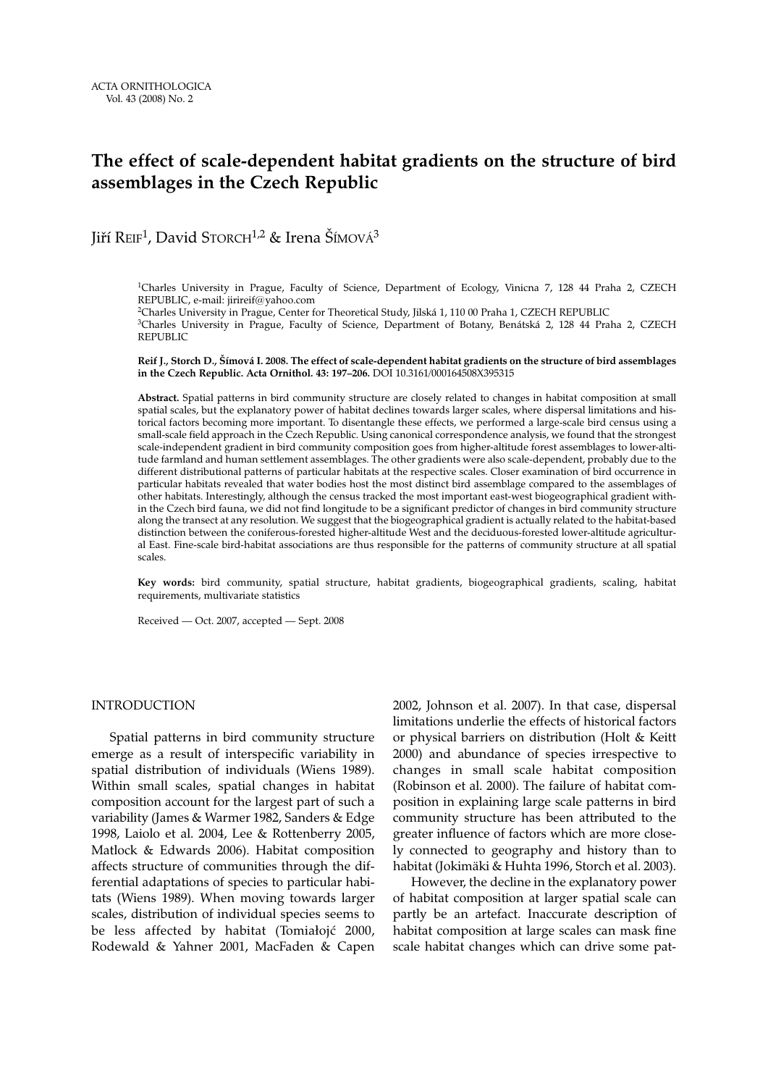### **The effect of scale-dependent habitat gradients on the structure of bird assemblages in the Czech Republic**

### Jiří REIF<sup>1</sup>, David Storch<sup>1,2</sup> & Irena Šímová<sup>3</sup>

1Charles University in Prague, Faculty of Science, Department of Ecology, Vinicna 7, 128 44 Praha 2, CZECH REPUBLIC, e-mail: jirireif@yahoo.com

2Charles University in Prague, Center for Theoretical Study, Jilská 1, 110 00 Praha 1, CZECH REPUBLIC

3Charles University in Prague, Faculty of Science, Department of Botany, Benátská 2, 128 44 Praha 2, CZECH REPUBLIC

#### **Reif J., Storch D., Šímová I. 2008. The effect of scale-dependent habitat gradients on the structure of bird assemblages in the Czech Republic. Acta Ornithol. 43: 197–206.** DOI 10.3161/000164508X395315

**Abstract.** Spatial patterns in bird community structure are closely related to changes in habitat composition at small spatial scales, but the explanatory power of habitat declines towards larger scales, where dispersal limitations and historical factors becoming more important. To disentangle these effects, we performed a large-scale bird census using a small-scale field approach in the Czech Republic. Using canonical correspondence analysis, we found that the strongest scale-independent gradient in bird community composition goes from higher-altitude forest assemblages to lower-altitude farmland and human settlement assemblages. The other gradients were also scale-dependent, probably due to the different distributional patterns of particular habitats at the respective scales. Closer examination of bird occurrence in particular habitats revealed that water bodies host the most distinct bird assemblage compared to the assemblages of other habitats. Interestingly, although the census tracked the most important east-west biogeographical gradient within the Czech bird fauna, we did not find longitude to be a significant predictor of changes in bird community structure along the transect at any resolution. We suggest that the biogeographical gradient is actually related to the habitat-based distinction between the coniferous-forested higher-altitude West and the deciduous-forested lower-altitude agricultural East. Fine-scale bird-habitat associations are thus responsible for the patterns of community structure at all spatial scales.

**Key words:** bird community, spatial structure, habitat gradients, biogeographical gradients, scaling, habitat requirements, multivariate statistics

Received — Oct. 2007, accepted — Sept. 2008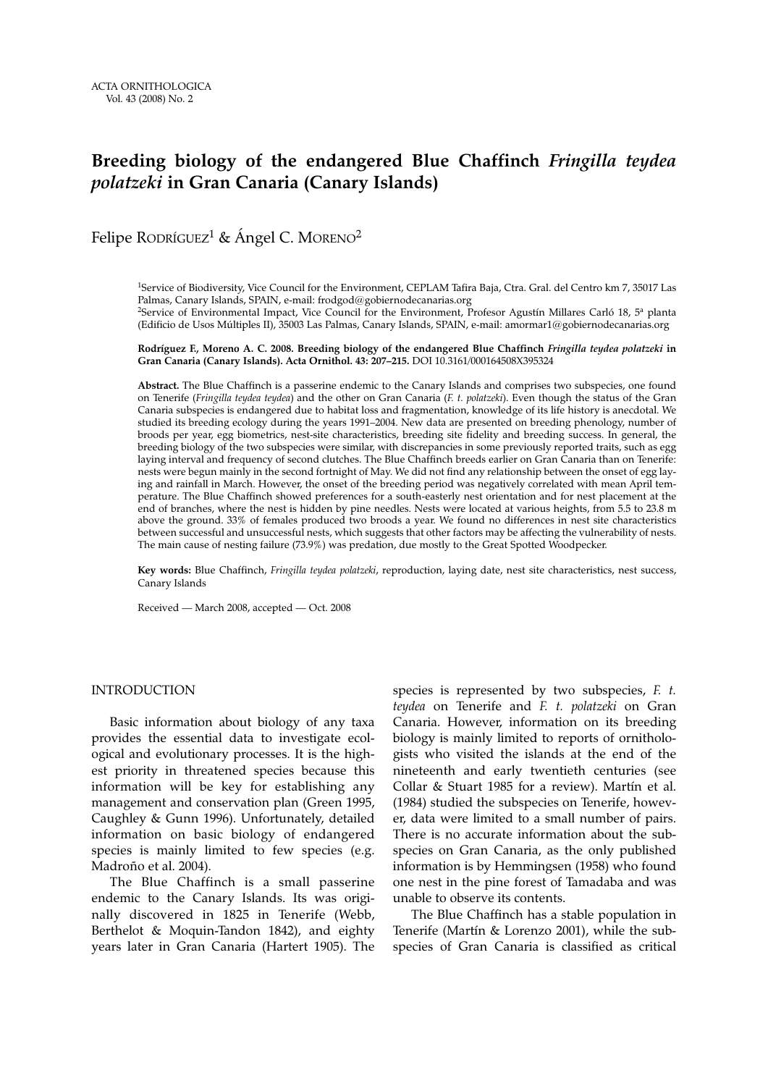### **Breeding biology of the endangered Blue Chaffinch** *Fringilla teydea polatzeki* **in Gran Canaria (Canary Islands)**

### Felipe RODRÍGUEZ<sup>1</sup> & Ángel C. MORENO<sup>2</sup>

1Service of Biodiversity, Vice Council for the Environment, CEPLAM Tafira Baja, Ctra. Gral. del Centro km 7, 35017 Las Palmas, Canary Islands, SPAIN, e-mail: frodgod@gobiernodecanarias.org <sup>2</sup>Service of Environmental Impact, Vice Council for the Environment, Profesor Agustín Millares Carló 18, 5<sup>a</sup> planta (Edificio de Usos Múltiples II), 35003 Las Palmas, Canary Islands, SPAIN, e-mail: amormar1@gobiernodecanarias.org

**Rodríguez F., Moreno A. C. 2008. Breeding biology of the endangered Blue Chaffinch** *Fringilla teydea polatzeki* **in Gran Canaria (Canary Islands). Acta Ornithol. 43: 207–215.** DOI 10.3161/000164508X395324

**Abstract.** The Blue Chaffinch is a passerine endemic to the Canary Islands and comprises two subspecies, one found on Tenerife (*Fringilla teydea teydea*) and the other on Gran Canaria (*F. t. polatzeki*). Even though the status of the Gran Canaria subspecies is endangered due to habitat loss and fragmentation, knowledge of its life history is anecdotal. We studied its breeding ecology during the years 1991–2004. New data are presented on breeding phenology, number of broods per year, egg biometrics, nest-site characteristics, breeding site fidelity and breeding success. In general, the breeding biology of the two subspecies were similar, with discrepancies in some previously reported traits, such as egg laying interval and frequency of second clutches. The Blue Chaffinch breeds earlier on Gran Canaria than on Tenerife: nests were begun mainly in the second fortnight of May. We did not find any relationship between the onset of egg laying and rainfall in March. However, the onset of the breeding period was negatively correlated with mean April temperature. The Blue Chaffinch showed preferences for a south-easterly nest orientation and for nest placement at the end of branches, where the nest is hidden by pine needles. Nests were located at various heights, from 5.5 to 23.8 m above the ground. 33% of females produced two broods a year. We found no differences in nest site characteristics between successful and unsuccessful nests, which suggests that other factors may be affecting the vulnerability of nests. The main cause of nesting failure (73.9%) was predation, due mostly to the Great Spotted Woodpecker.

**Key words:** Blue Chaffinch, *Fringilla teydea polatzeki*, reproduction, laying date, nest site characteristics, nest success, Canary Islands

Received — March 2008, accepted — Oct. 2008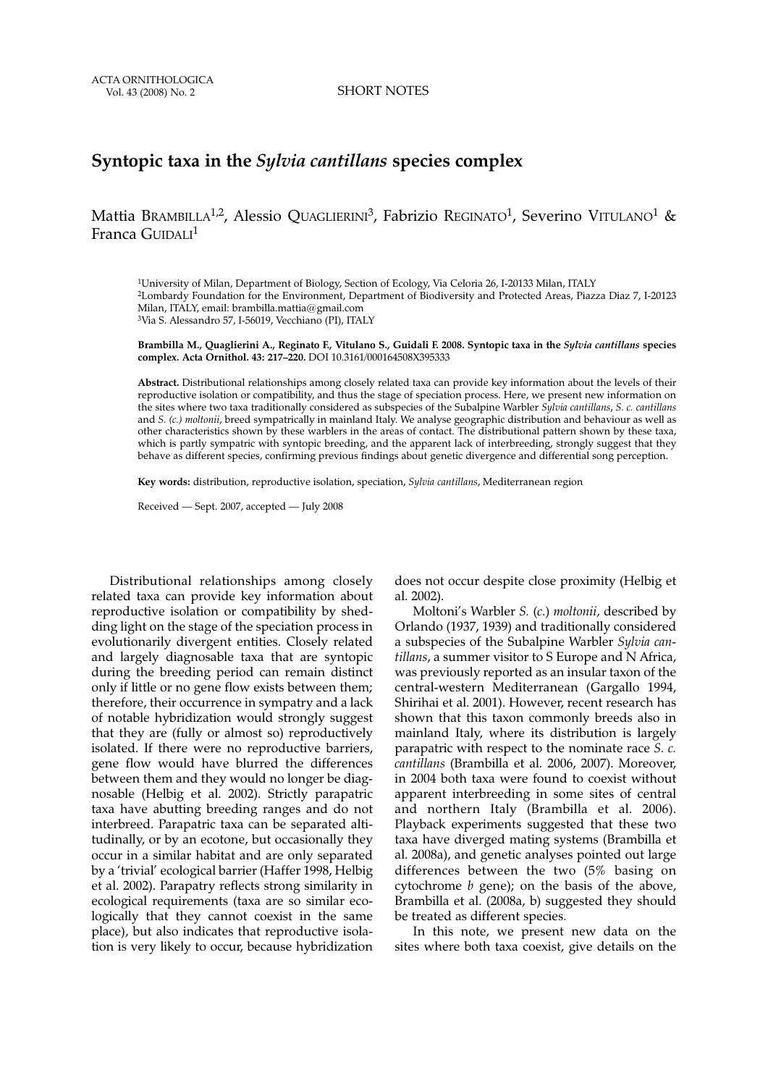### **Syntopic taxa in the** *Sylvia cantillans* **species complex**

Mattia BRAMBILLA<sup>1,2</sup>, Alessio QUAGLIERINI<sup>3</sup>, Fabrizio REGINATO<sup>1</sup>, Severino VITULANO<sup>1</sup> & Franca  $G$ UIDALI $^1$ 

1University of Milan, Department of Biology, Section of Ecology, Via Celoria 26, I-20133 Milan, ITALY 2Lombardy Foundation for the Environment, Department of Biodiversity and Protected Areas, Piazza Diaz 7, I-20123 Milan, ITALY, email: brambilla.mattia@gmail.com 3Via S. Alessandro 57, I-56019, Vecchiano (PI), ITALY

**Brambilla M., Quaglierini A., Reginato F., Vitulano S., Guidali F. 2008. Syntopic taxa in the** *Sylvia cantillans* **species complex. Acta Ornithol. 43: 217–220.** DOI 10.3161/000164508X395333

**Abstract.** Distributional relationships among closely related taxa can provide key information about the levels of their reproductive isolation or compatibility, and thus the stage of speciation process. Here, we present new information on the sites where two taxa traditionally considered as subspecies of the Subalpine Warbler *Sylvia cantillans*, *S. c. cantillans* and *S. (c.) moltonii*, breed sympatrically in mainland Italy. We analyse geographic distribution and behaviour as well as other characteristics shown by these warblers in the areas of contact. The distributional pattern shown by these taxa, which is partly sympatric with syntopic breeding, and the apparent lack of interbreeding, strongly suggest that they behave as different species, confirming previous findings about genetic divergence and differential song perception.

**Key words:** distribution, reproductive isolation, speciation, *Sylvia cantillans*, Mediterranean region

Received — Sept. 2007, accepted — July 2008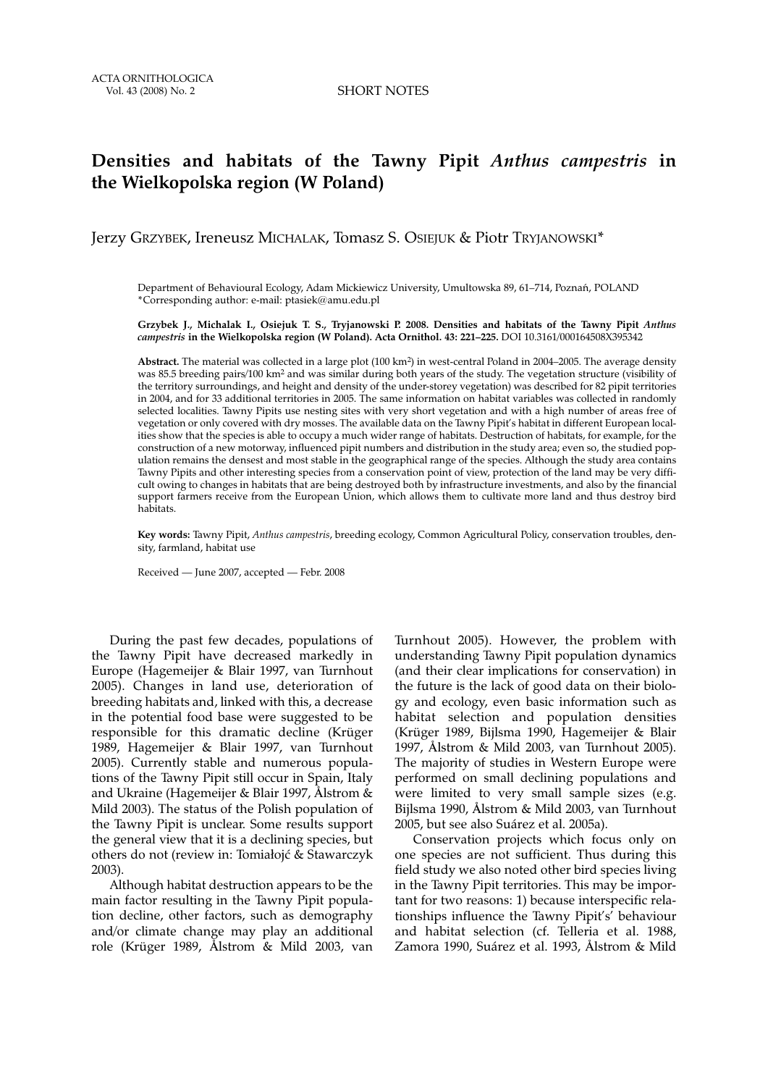# **Densities and habitats of the Tawny Pipit** *Anthus campestris* **in the Wielkopolska region (W Poland)**

Jerzy GRZYBEK, Ireneusz MICHALAK, Tomasz S. OSIEJUK & Piotr TRYJANOWSKI\*

Department of Behavioural Ecology, Adam Mickiewicz University, Umultowska 89, 61–714, Poznań, POLAND \*Corresponding author: e-mail: ptasiek@amu.edu.pl

**Grzybek J., Michalak I., Osiejuk T. S., Tryjanowski P. 2008. Densities and habitats of the Tawny Pipit** *Anthus campestris* **in the Wielkopolska region (W Poland). Acta Ornithol. 43: 221–225.** DOI 10.3161/000164508X395342

**Abstract.** The material was collected in a large plot (100 km2) in west-central Poland in 2004–2005. The average density was 85.5 breeding pairs/100 km<sup>2</sup> and was similar during both years of the study. The vegetation structure (visibility of the territory surroundings, and height and density of the under-storey vegetation) was described for 82 pipit territories in 2004, and for 33 additional territories in 2005. The same information on habitat variables was collected in randomly selected localities. Tawny Pipits use nesting sites with very short vegetation and with a high number of areas free of vegetation or only covered with dry mosses. The available data on the Tawny Pipit's habitat in different European localities show that the species is able to occupy a much wider range of habitats. Destruction of habitats, for example, for the construction of a new motorway, influenced pipit numbers and distribution in the study area; even so, the studied population remains the densest and most stable in the geographical range of the species. Although the study area contains Tawny Pipits and other interesting species from a conservation point of view, protection of the land may be very difficult owing to changes in habitats that are being destroyed both by infrastructure investments, and also by the financial support farmers receive from the European Union, which allows them to cultivate more land and thus destroy bird habitats.

**Key words:** Tawny Pipit, *Anthus campestris*, breeding ecology, Common Agricultural Policy, conservation troubles, density, farmland, habitat use

Received — June 2007, accepted — Febr. 2008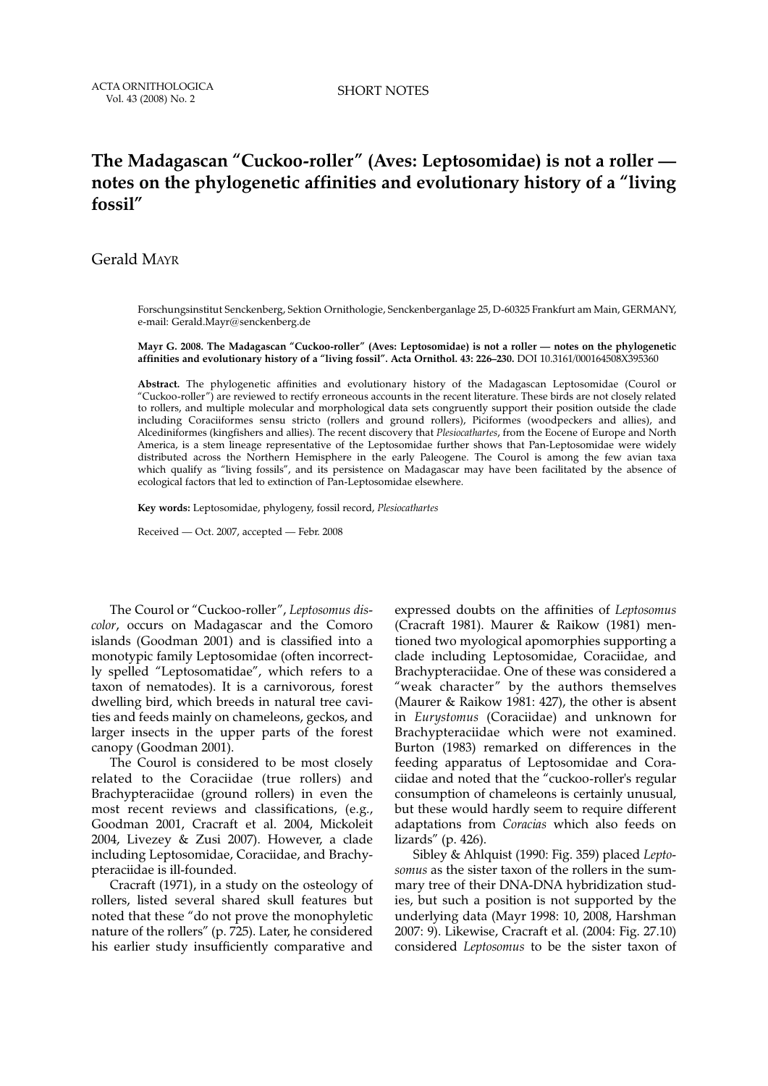# **The Madagascan "Cuckoo-roller" (Aves: Leptosomidae) is not a roller notes on the phylogenetic affinities and evolutionary history of a "living fossil"**

Gerald MAYR

Forschungsinstitut Senckenberg, Sektion Ornithologie, Senckenberganlage 25, D-60325 Frankfurt am Main, GERMANY, e-mail: Gerald.Mayr@senckenberg.de

**Mayr G. 2008. The Madagascan "Cuckoo-roller" (Aves: Leptosomidae) is not a roller — notes on the phylogenetic affinities and evolutionary history of a "living fossil". Acta Ornithol. 43: 226–230.** DOI 10.3161/000164508X395360

**Abstract.** The phylogenetic affinities and evolutionary history of the Madagascan Leptosomidae (Courol or "Cuckoo-roller") are reviewed to rectify erroneous accounts in the recent literature. These birds are not closely related to rollers, and multiple molecular and morphological data sets congruently support their position outside the clade including Coraciiformes sensu stricto (rollers and ground rollers), Piciformes (woodpeckers and allies), and Alcediniformes (kingfishers and allies). The recent discovery that *Plesiocathartes*, from the Eocene of Europe and North America, is a stem lineage representative of the Leptosomidae further shows that Pan-Leptosomidae were widely distributed across the Northern Hemisphere in the early Paleogene. The Courol is among the few avian taxa which qualify as "living fossils", and its persistence on Madagascar may have been facilitated by the absence of ecological factors that led to extinction of Pan-Leptosomidae elsewhere.

**Key words:** Leptosomidae, phylogeny, fossil record, *Plesiocathartes*

Received — Oct. 2007, accepted — Febr. 2008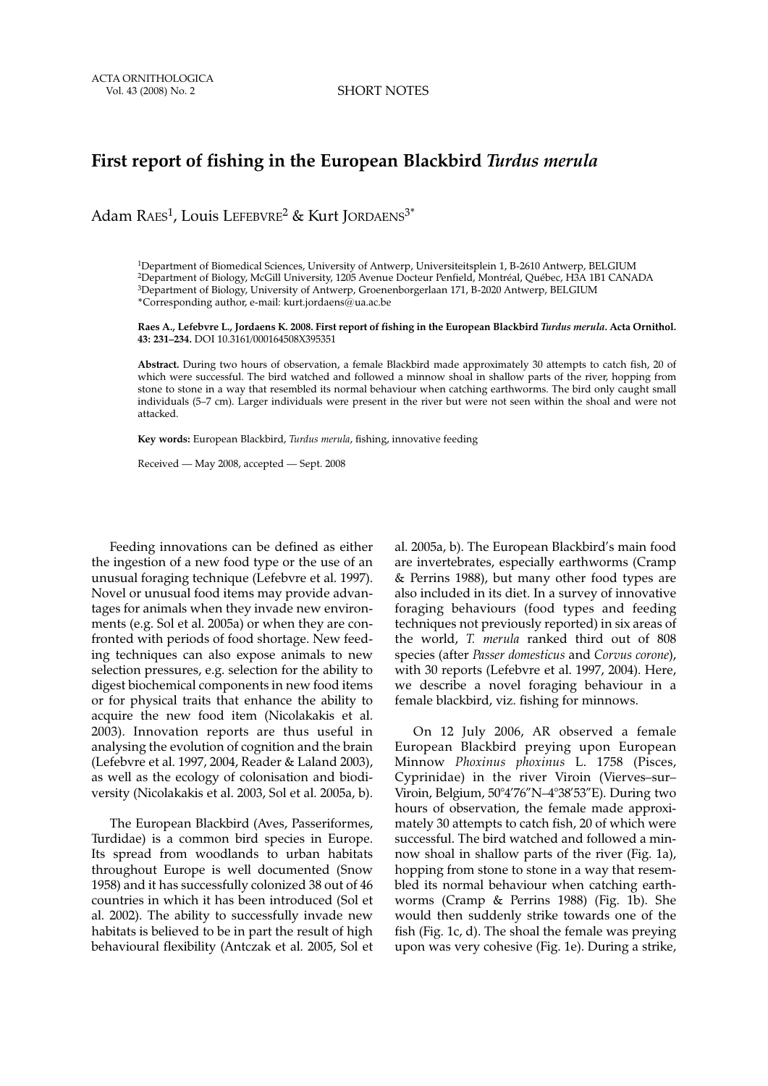### **First report of fishing in the European Blackbird** *Turdus merula*

### Adam RAES<sup>1</sup>, Louis LEFEBVRE<sup>2</sup> & Kurt JORDAENS<sup>3\*</sup>

1Department of Biomedical Sciences, University of Antwerp, Universiteitsplein 1, B-2610 Antwerp, BELGIUM 2Department of Biology, McGill University, 1205 Avenue Docteur Penfield, Montréal, Québec, H3A 1B1 CANADA 3Department of Biology, University of Antwerp, Groenenborgerlaan 171, B-2020 Antwerp, BELGIUM \*Corresponding author, e-mail: kurt.jordaens@ua.ac.be

**Raes A., Lefebvre L., Jordaens K. 2008. First report of fishing in the European Blackbird** *Turdus merula***. Acta Ornithol. 43: 231–234.** DOI 10.3161/000164508X395351

**Abstract.** During two hours of observation, a female Blackbird made approximately 30 attempts to catch fish, 20 of which were successful. The bird watched and followed a minnow shoal in shallow parts of the river, hopping from stone to stone in a way that resembled its normal behaviour when catching earthworms. The bird only caught small individuals (5–7 cm). Larger individuals were present in the river but were not seen within the shoal and were not attacked.

**Key words:** European Blackbird, *Turdus merula*, fishing, innovative feeding

Received — May 2008, accepted — Sept. 2008